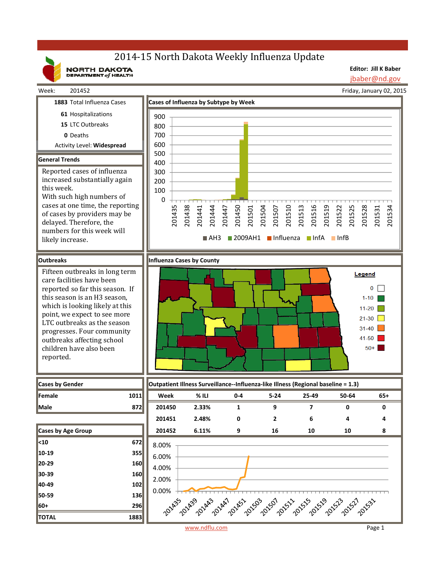# 2014-15 North Dakota Weekly Influenza Update

NORTH DAKOTA

Week: 201452

**Editor: Jill K Baber** jbaber@nd.gov

Friday, January 02, 2015

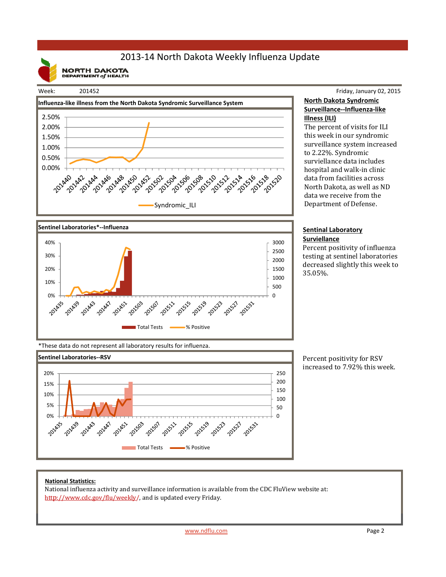## 2013‐14 North Dakota Weekly Influenza Update

**NORTH DAKOTA**<br>DEPARTMENT of HEALTH

#### Week: 201452





#### Friday, January 02, 2015 **North Dakota Syndromic Surveillance‐‐Influenza‐like Illness (ILI)**

The percent of visits for ILI this week in our syndromic surveillance system increased to 2.22%. Syndromic surviellance data includes hospital and walk-in clinic data from facilities across North Dakota, as well as ND data we receive from the Department of Defense.

#### **Sentinal Laboratory Surviellance**

Percent positivity of influenza testing at sentinel laboratories decreased slightly this week to 35.05%. 

\*These data do not represent all laboratory results for influenza.



Percent positivity for RSV increased to 7.92% this week.

### **National Statistics:**

National influenza activity and surveillance information is available from the CDC FluView website at: http://www.cdc.gov/flu/weekly/, and is updated every Friday.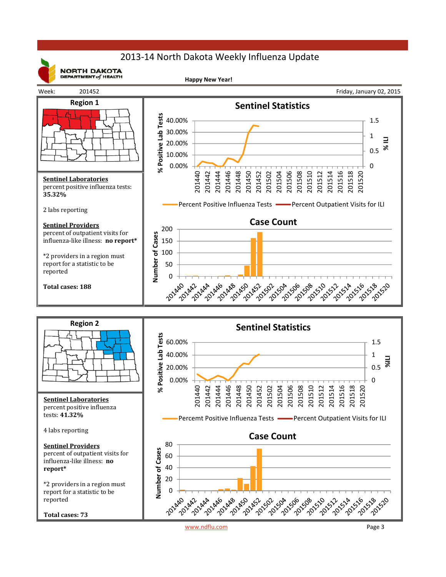## 2013‐14 North Dakota Weekly Influenza Update



**NORTH DAKOTA** DEPARTMENT  $of$  HEALTH

**Happy New Year!**